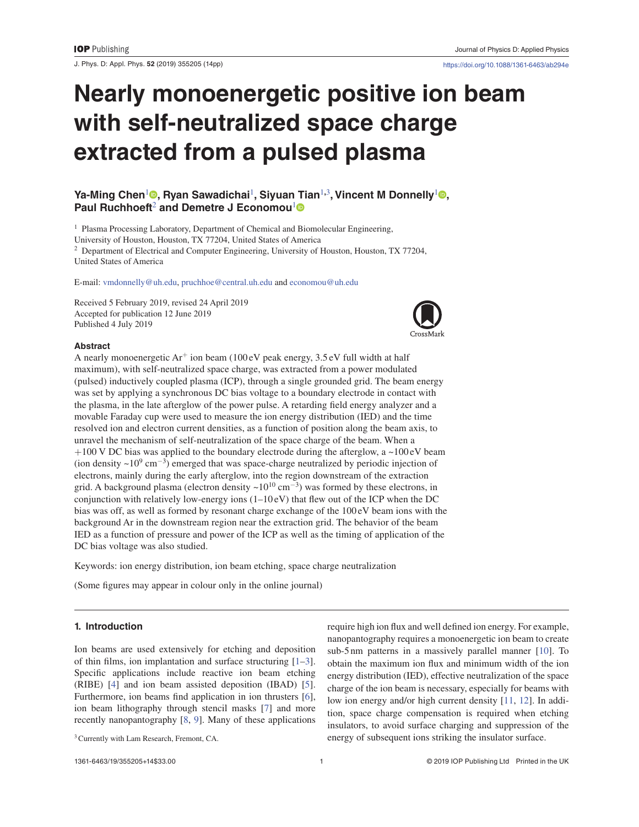J. Phys. D: Appl. Phys. **52** (2019) 355205 (14pp) https://doi.org/10.1088/1361-6463/ab294e

# **Nearly monoenergetic positive ion beam with self-neutralized space charge extracted from a pulsed plasma**

# **Ya-Ming Chen<sup>1</sup> •, Ryan Sawadichai<sup>1</sup>, Siyuan Tian<sup>1,3</sup>, Vincent M Donnelly<sup>1</sup> •, Paul Ruchhoeft**2 **and Demetre J Economou**<sup>1</sup>

<sup>1</sup> Plasma Processing Laboratory, Department of Chemical and Biomolecular Engineering,

University of Houston, Houston, TX 77204, United States of America

<sup>2</sup> Department of Electrical and Computer Engineering, University of Houston, Houston, TX 77204, United States of America

E-mail: vmdonnelly@uh.edu, pruchhoe@central.uh.edu and economou@uh.edu

Received 5 February 2019, revised 24 April 2019 Accepted for publication 12 June 2019 Published 4 July 2019



### **Abstract**

A nearly monoenergetic  $Ar^+$  ion beam (100 eV peak energy, 3.5 eV full width at half maximum), with self-neutralized space charge, was extracted from a power modulated (pulsed) inductively coupled plasma (ICP), through a single grounded grid. The beam energy was set by applying a synchronous DC bias voltage to a boundary electrode in contact with the plasma, in the late afterglow of the power pulse. A retarding field energy analyzer and a movable Faraday cup were used to measure the ion energy distribution (IED) and the time resolved ion and electron current densities, as a function of position along the beam axis, to unravel the mechanism of self-neutralization of the space charge of the beam. When a  $+100$  V DC bias was applied to the boundary electrode during the afterglow, a  $\sim$ 100 eV beam (ion density  $\sim 10^{9}$  cm<sup>-3</sup>) emerged that was space-charge neutralized by periodic injection of electrons, mainly during the early afterglow, into the region downstream of the extraction grid. A background plasma (electron density ~10<sup>10</sup> cm<sup>-3</sup>) was formed by these electrons, in conjunction with relatively low-energy ions  $(1-10 \text{ eV})$  that flew out of the ICP when the DC bias was off, as well as formed by resonant charge exchange of the 100 eV beam ions with the background Ar in the downstream region near the extraction grid. The behavior of the beam IED as a function of pressure and power of the ICP as well as the timing of application of the DC bias voltage was also studied.

Keywords: ion energy distribution, ion beam etching, space charge neutralization

(Some figures may appear in colour only in the online journal)

# **1. Introduction**

Ion beams are used extensively for etching and deposition of thin films, ion implantation and surface structuring [1–3]. Specific applications include reactive ion beam etching (RIBE) [4] and ion beam assisted deposition (IBAD) [5]. Furthermore, ion beams find application in ion thrusters [6], ion beam lithography through stencil masks [7] and more recently nanopantography [8, 9]. Many of these applications

require high ion flux and well defined ion energy. For example, nanopantography requires a monoenergetic ion beam to create sub-5 nm patterns in a massively parallel manner [10]. To obtain the maximum ion flux and minimum width of the ion energy distribution (IED), effective neutralization of the space charge of the ion beam is necessary, especially for beams with low ion energy and/or high current density [11, 12]. In addition, space charge compensation is required when etching insulators, to avoid surface charging and suppression of the energy of subsequent ions striking the insulator surface.

<sup>&</sup>lt;sup>3</sup> Currently with Lam Research, Fremont, CA.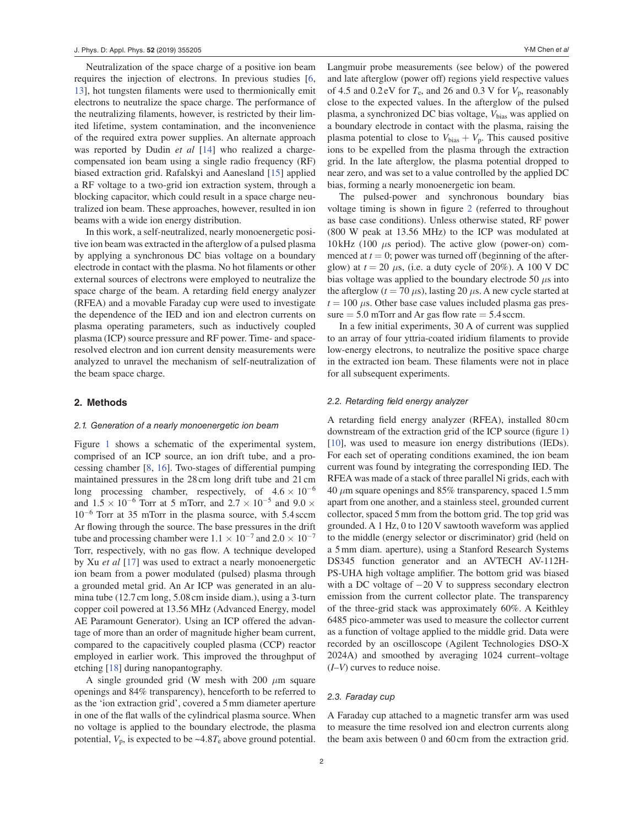Neutralization of the space charge of a positive ion beam requires the injection of electrons. In previous studies [6, 13], hot tungsten filaments were used to thermionically emit electrons to neutralize the space charge. The performance of the neutralizing filaments, however, is restricted by their limited lifetime, system contamination, and the inconvenience of the required extra power supplies. An alternate approach was reported by Dudin *et al* [14] who realized a chargecompensated ion beam using a single radio frequency (RF) biased extraction grid. Rafalskyi and Aanesland [15] applied a RF voltage to a two-grid ion extraction system, through a blocking capacitor, which could result in a space charge neutralized ion beam. These approaches, however, resulted in ion beams with a wide ion energy distribution.

In this work, a self-neutralized, nearly monoenergetic positive ion beam was extracted in the afterglow of a pulsed plasma by applying a synchronous DC bias voltage on a boundary electrode in contact with the plasma. No hot filaments or other external sources of electrons were employed to neutralize the space charge of the beam. A retarding field energy analyzer (RFEA) and a movable Faraday cup were used to investigate the dependence of the IED and ion and electron currents on plasma operating parameters, such as inductively coupled plasma (ICP) source pressure and RF power. Time- and spaceresolved electron and ion current density measurements were analyzed to unravel the mechanism of self-neutralization of the beam space charge.

## **2. Methods**

#### 2.1. Generation of a nearly monoenergetic ion beam

Figure 1 shows a schematic of the experimental system, comprised of an ICP source, an ion drift tube, and a processing chamber [8, 16]. Two-stages of differential pumping maintained pressures in the 28 cm long drift tube and 21 cm long processing chamber, respectively, of  $4.6 \times 10^{-6}$ and  $1.5 \times 10^{-6}$  Torr at 5 mTorr, and  $2.7 \times 10^{-5}$  and  $9.0 \times$ 10−<sup>6</sup> Torr at 35 mTorr in the plasma source, with 5.4 sccm Ar flowing through the source. The base pressures in the drift tube and processing chamber were  $1.1 \times 10^{-7}$  and  $2.0 \times 10^{-7}$ Torr, respectively, with no gas flow. A technique developed by Xu *et al* [17] was used to extract a nearly monoenergetic ion beam from a power modulated (pulsed) plasma through a grounded metal grid. An Ar ICP was generated in an alumina tube (12.7 cm long, 5.08 cm inside diam.), using a 3-turn copper coil powered at 13.56 MHz (Advanced Energy, model AE Paramount Generator). Using an ICP offered the advantage of more than an order of magnitude higher beam current, compared to the capacitively coupled plasma (CCP) reactor employed in earlier work. This improved the throughput of etching [18] during nanopantography.

A single grounded grid (W mesh with 200 *μ*m square openings and 84% transparency), henceforth to be referred to as the 'ion extraction grid', covered a 5 mm diameter aperture in one of the flat walls of the cylindrical plasma source. When no voltage is applied to the boundary electrode, the plasma potential,  $V_p$ , is expected to be  $\sim$ 4.8 $T_e$  above ground potential.

Langmuir probe measurements (see below) of the powered and late afterglow (power off) regions yield respective values of 4.5 and  $0.2$  eV for  $T_e$ , and 26 and 0.3 V for  $V_p$ , reasonably close to the expected values. In the afterglow of the pulsed plasma, a synchronized DC bias voltage, *V*bias was applied on a boundary electrode in contact with the plasma, raising the plasma potential to close to  $V_{bias} + V_p$ . This caused positive ions to be expelled from the plasma through the extraction grid. In the late afterglow, the plasma potential dropped to near zero, and was set to a value controlled by the applied DC bias, forming a nearly monoenergetic ion beam.

The pulsed-power and synchronous boundary bias voltage timing is shown in figure 2 (referred to throughout as base case conditions). Unless otherwise stated, RF power (800 W peak at 13.56 MHz) to the ICP was modulated at  $10$  kHz (100  $\mu$ s period). The active glow (power-on) commenced at  $t = 0$ ; power was turned off (beginning of the afterglow) at  $t = 20 \mu s$ , (i.e. a duty cycle of 20%). A 100 V DC bias voltage was applied to the boundary electrode 50 *μ*s into the afterglow  $(t = 70 \,\mu s)$ , lasting 20  $\mu s$ . A new cycle started at  $t = 100 \mu$ s. Other base case values included plasma gas pressure  $= 5.0$  mTorr and Ar gas flow rate  $= 5.4$  sccm.

In a few initial experiments, 30 A of current was supplied to an array of four yttria-coated iridium filaments to provide low-energy electrons, to neutralize the positive space charge in the extracted ion beam. These filaments were not in place for all subsequent experiments.

#### 2.2. Retarding field energy analyzer

A retarding field energy analyzer (RFEA), installed 80 cm downstream of the extraction grid of the ICP source (figure 1) [10], was used to measure ion energy distributions (IEDs). For each set of operating conditions examined, the ion beam current was found by integrating the corresponding IED. The RFEA was made of a stack of three parallel Ni grids, each with 40 *μ*m square openings and 85% transparency, spaced 1.5 mm apart from one another, and a stainless steel, grounded current collector, spaced 5 mm from the bottom grid. The top grid was grounded. A 1 Hz, 0 to 120 V sawtooth waveform was applied to the middle (energy selector or discriminator) grid (held on a 5 mm diam. aperture), using a Stanford Research Systems DS345 function generator and an AVTECH AV-112H-PS-UHA high voltage amplifier. The bottom grid was biased with a DC voltage of −20 V to suppress secondary electron emission from the current collector plate. The transparency of the three-grid stack was approximately 60%. A Keithley 6485 pico-ammeter was used to measure the collector current as a function of voltage applied to the middle grid. Data were recorded by an oscilloscope (Agilent Technologies DSO-X 2024A) and smoothed by averaging 1024 current–voltage (*I*–*V*) curves to reduce noise.

#### 2.3. Faraday cup

A Faraday cup attached to a magnetic transfer arm was used to measure the time resolved ion and electron currents along the beam axis between 0 and 60 cm from the extraction grid.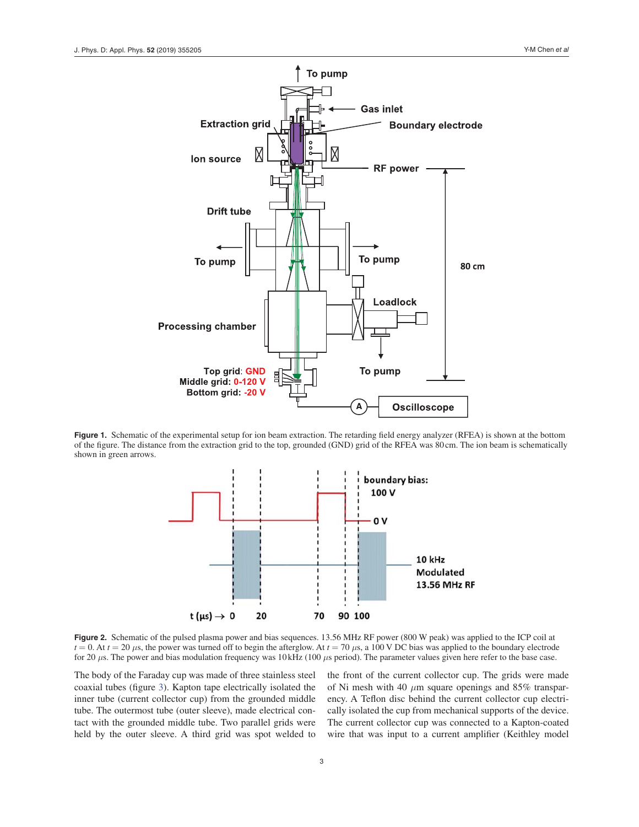

**Figure 1.** Schematic of the experimental setup for ion beam extraction. The retarding field energy analyzer (RFEA) is shown at the bottom of the figure. The distance from the extraction grid to the top, grounded (GND) grid of the RFEA was 80 cm. The ion beam is schematically shown in green arrows.



**Figure 2.** Schematic of the pulsed plasma power and bias sequences. 13.56 MHz RF power (800 W peak) was applied to the ICP coil at  $t = 0$ . At  $t = 20 \mu s$ , the power was turned off to begin the afterglow. At  $t = 70 \mu s$ , a 100 V DC bias was applied to the boundary electrode for 20 *μ*s. The power and bias modulation frequency was 10 kHz (100 *μ*s period). The parameter values given here refer to the base case.

The body of the Faraday cup was made of three stainless steel coaxial tubes (figure 3). Kapton tape electrically isolated the inner tube (current collector cup) from the grounded middle tube. The outermost tube (outer sleeve), made electrical contact with the grounded middle tube. Two parallel grids were held by the outer sleeve. A third grid was spot welded to

the front of the current collector cup. The grids were made of Ni mesh with 40 *μ*m square openings and 85% transparency. A Teflon disc behind the current collector cup electrically isolated the cup from mechanical supports of the device. The current collector cup was connected to a Kapton-coated wire that was input to a current amplifier (Keithley model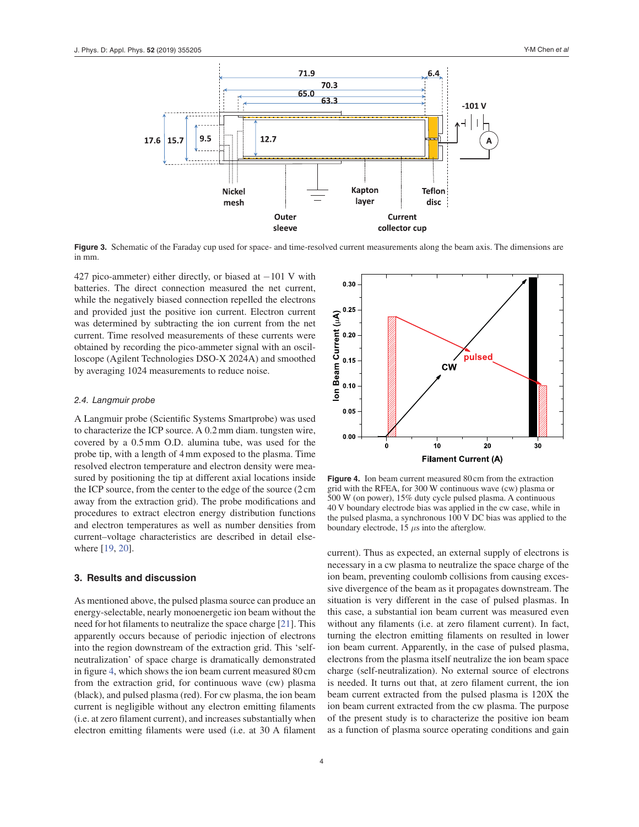

**Figure 3.** Schematic of the Faraday cup used for space- and time-resolved current measurements along the beam axis. The dimensions are in mm.

427 pico-ammeter) either directly, or biased at −101 V with batteries. The direct connection measured the net current, while the negatively biased connection repelled the electrons and provided just the positive ion current. Electron current was determined by subtracting the ion current from the net current. Time resolved measurements of these currents were obtained by recording the pico-ammeter signal with an oscilloscope (Agilent Technologies DSO-X 2024A) and smoothed by averaging 1024 measurements to reduce noise.

#### 2.4. Langmuir probe

A Langmuir probe (Scientific Systems Smartprobe) was used to characterize the ICP source. A 0.2 mm diam. tungsten wire, covered by a 0.5 mm O.D. alumina tube, was used for the probe tip, with a length of 4 mm exposed to the plasma. Time resolved electron temperature and electron density were measured by positioning the tip at different axial locations inside the ICP source, from the center to the edge of the source (2 cm away from the extraction grid). The probe modifications and procedures to extract electron energy distribution functions and electron temperatures as well as number densities from current–voltage characteristics are described in detail elsewhere [19, 20].

## **3. Results and discussion**

As mentioned above, the pulsed plasma source can produce an energy-selectable, nearly monoenergetic ion beam without the need for hot filaments to neutralize the space charge [21]. This apparently occurs because of periodic injection of electrons into the region downstream of the extraction grid. This 'selfneutralization' of space charge is dramatically demonstrated in figure 4, which shows the ion beam current measured 80 cm from the extraction grid, for continuous wave (cw) plasma (black), and pulsed plasma (red). For cw plasma, the ion beam current is negligible without any electron emitting filaments (i.e. at zero filament current), and increases substantially when electron emitting filaments were used (i.e. at 30 A filament



**Figure 4.** Ion beam current measured 80 cm from the extraction grid with the RFEA, for 300 W continuous wave (cw) plasma or 500 W (on power), 15% duty cycle pulsed plasma. A continuous 40 V boundary electrode bias was applied in the cw case, while in the pulsed plasma, a synchronous 100 V DC bias was applied to the boundary electrode, 15 *μ*s into the afterglow.

current). Thus as expected, an external supply of electrons is necessary in a cw plasma to neutralize the space charge of the ion beam, preventing coulomb collisions from causing excessive divergence of the beam as it propagates downstream. The situation is very different in the case of pulsed plasmas. In this case, a substantial ion beam current was measured even without any filaments (i.e. at zero filament current). In fact, turning the electron emitting filaments on resulted in lower ion beam current. Apparently, in the case of pulsed plasma, electrons from the plasma itself neutralize the ion beam space charge (self-neutralization). No external source of electrons is needed. It turns out that, at zero filament current, the ion beam current extracted from the pulsed plasma is 120X the ion beam current extracted from the cw plasma. The purpose of the present study is to characterize the positive ion beam as a function of plasma source operating conditions and gain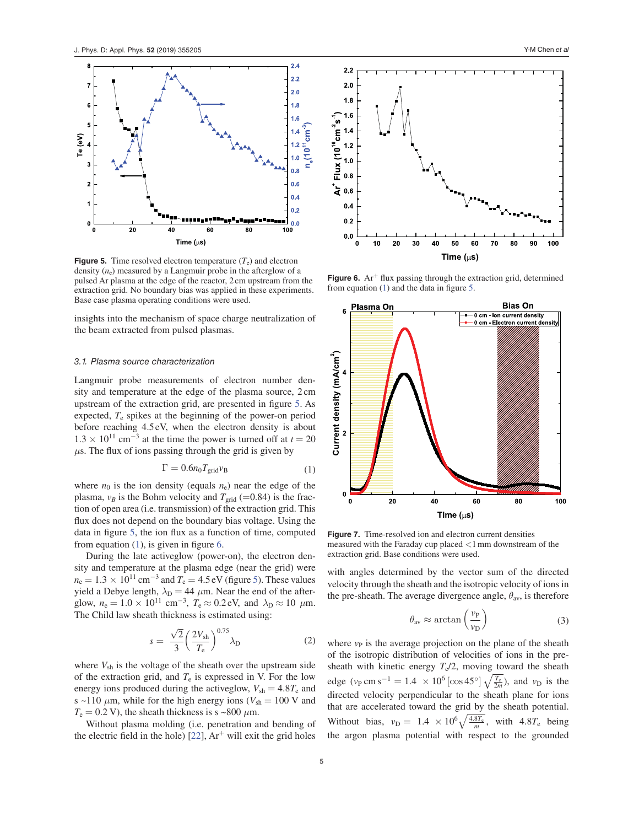

**Figure 5.** Time resolved electron temperature  $(T_e)$  and electron density (*n*e) measured by a Langmuir probe in the afterglow of a pulsed Ar plasma at the edge of the reactor, 2 cm upstream from the extraction grid. No boundary bias was applied in these experiments. Base case plasma operating conditions were used.

insights into the mechanism of space charge neutralization of the beam extracted from pulsed plasmas.

#### 3.1. Plasma source characterization

Langmuir probe measurements of electron number density and temperature at the edge of the plasma source, 2 cm upstream of the extraction grid, are presented in figure 5. As expected, *T*e spikes at the beginning of the power-on period before reaching 4.5 eV, when the electron density is about  $1.3 \times 10^{11}$  cm<sup>-3</sup> at the time the power is turned off at  $t = 20$  $\mu$ s. The flux of ions passing through the grid is given by

$$
\Gamma = 0.6n_0 T_{\text{grid}} v_{\text{B}} \tag{1}
$$

where  $n_0$  is the ion density (equals  $n_e$ ) near the edge of the plasma,  $v_B$  is the Bohm velocity and  $T_{\text{grid}}$  (=0.84) is the fraction of open area (i.e. transmission) of the extraction grid. This flux does not depend on the boundary bias voltage. Using the data in figure 5, the ion flux as a function of time, computed from equation  $(1)$ , is given in figure 6.

During the late activeglow (power-on), the electron density and temperature at the plasma edge (near the grid) were  $n_e = 1.3 \times 10^{11} \text{ cm}^{-3}$  and  $T_e = 4.5 \text{ eV}$  (figure 5). These values yield a Debye length,  $\lambda_D = 44 \mu m$ . Near the end of the afterglow,  $n_e = 1.0 \times 10^{11}$  cm<sup>-3</sup>,  $T_e \approx 0.2$  eV, and  $\lambda_D \approx 10 \mu$ m. The Child law sheath thickness is estimated using:

$$
s = \frac{\sqrt{2}}{3} \left(\frac{2V_{\rm sh}}{T_{\rm e}}\right)^{0.75} \lambda_{\rm D} \tag{2}
$$

where  $V_{\text{sh}}$  is the voltage of the sheath over the upstream side of the extraction grid, and  $T_e$  is expressed in V. For the low energy ions produced during the activeglow,  $V_{\text{sh}} = 4.8T_{\text{e}}$  and s ~110  $\mu$ m, while for the high energy ions ( $V_{\text{sh}} = 100$  V and  $T_e = 0.2$  V), the sheath thickness is s ~800  $\mu$ m.

Without plasma molding (i.e. penetration and bending of the electric field in the hole)  $[22]$ ,  $Ar<sup>+</sup>$  will exit the grid holes



**Figure 6.** Ar<sup> $+$ </sup> flux passing through the extraction grid, determined from equation (1) and the data in figure 5.



**Figure 7.** Time-resolved ion and electron current densities measured with the Faraday cup placed <1 mm downstream of the extraction grid. Base conditions were used.

with angles determined by the vector sum of the directed velocity through the sheath and the isotropic velocity of ions in the pre-sheath. The average divergence angle,  $\theta_{av}$ , is therefore

$$
\theta_{\rm av} \approx \arctan\left(\frac{v_{\rm P}}{v_{\rm D}}\right) \tag{3}
$$

where  $v<sub>P</sub>$  is the average projection on the plane of the sheath of the isotropic distribution of velocities of ions in the presheath with kinetic energy  $T_e/2$ , moving toward the sheath edge  $(\nu_P \text{ cm s}^{-1} = 1.4 \times 10^6 \left[ \cos 45^\circ \right] \sqrt{\frac{T_e}{2m}})$ , and  $\nu_D$  is the directed velocity perpendicular to the sheath plane for ions that are accelerated toward the grid by the sheath potential. Without bias,  $v_D = 1.4 \times 10^6 \sqrt{\frac{4.8T_e}{m}}$ , with  $4.8T_e$  being the argon plasma potential with respect to the grounded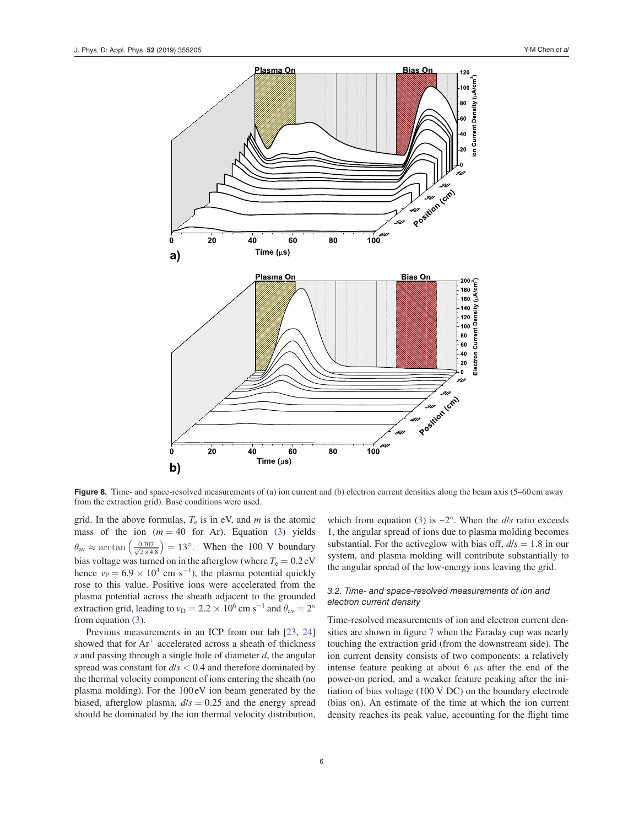

**Figure 8.** Time- and space-resolved measurements of (a) ion current and (b) electron current densities along the beam axis (5–60 cm away from the extraction grid). Base conditions were used.

grid. In the above formulas,  $T_e$  is in eV, and  $m$  is the atomic mass of the ion  $(m = 40$  for Ar). Equation (3) yields  $\theta_{\text{av}} \approx \arctan\left(\frac{0.707}{\sqrt{2 \times 4.8}}\right) = 13^{\circ}$ . When the 100 V boundary bias voltage was turned on in the afterglow (where  $T_e = 0.2$  eV hence  $v_P = 6.9 \times 10^4$  cm s<sup>-1</sup>), the plasma potential quickly rose to this value. Positive ions were accelerated from the plasma potential across the sheath adjacent to the grounded extraction grid, leading to  $v_D = 2.2 \times 10^6$  cm s<sup>-1</sup> and  $\theta_{av} = 2^{\circ}$ from equation (3).

Previous measurements in an ICP from our lab [23, 24] showed that for  $Ar^+$  accelerated across a sheath of thickness *s* and passing through a single hole of diameter *d*, the angular spread was constant for *d*/*s* < 0.4 and therefore dominated by the thermal velocity component of ions entering the sheath (no plasma molding). For the 100 eV ion beam generated by the biased, afterglow plasma,  $d/s = 0.25$  and the energy spread should be dominated by the ion thermal velocity distribution,

which from equation (3) is  $\sim 2^{\circ}$ . When the *d*/*s* ratio exceeds 1, the angular spread of ions due to plasma molding becomes substantial. For the activeglow with bias off,  $d/s = 1.8$  in our system, and plasma molding will contribute substantially to the angular spread of the low-energy ions leaving the grid.

## 3.2. Time- and space-resolved measurements of ion and electron current density

Time-resolved measurements of ion and electron current densities are shown in figure 7 when the Faraday cup was nearly touching the extraction grid (from the downstream side). The ion current density consists of two components: a relatively intense feature peaking at about 6 *μ*s after the end of the power-on period, and a weaker feature peaking after the initiation of bias voltage (100 V DC) on the boundary electrode (bias on). An estimate of the time at which the ion current density reaches its peak value, accounting for the flight time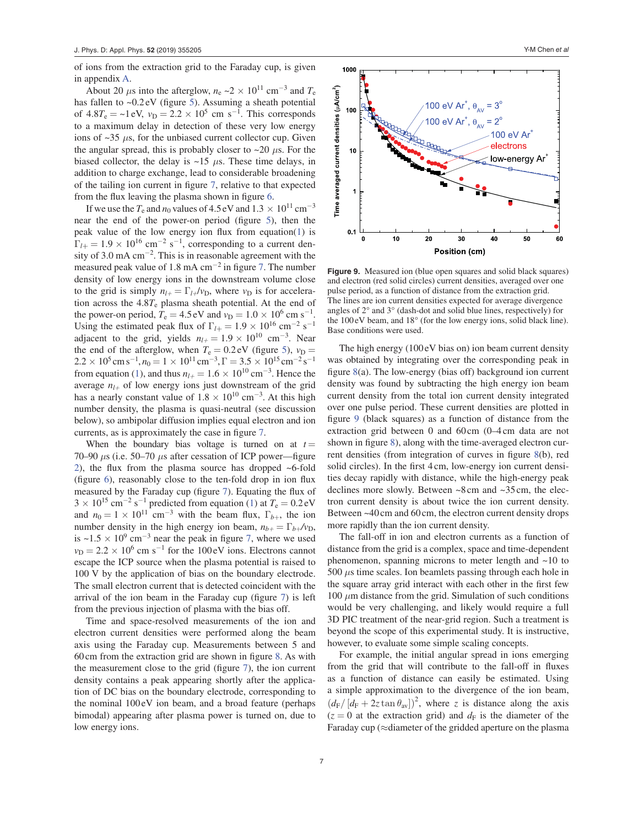of ions from the extraction grid to the Faraday cup, is given in appendix A.

About 20  $\mu$ s into the afterglow,  $n_e \sim 2 \times 10^{11}$  cm<sup>-3</sup> and  $T_e$ has fallen to ~0.2 eV (figure 5). Assuming a sheath potential of  $4.8T_e = -1$  eV,  $v_D = 2.2 \times 10^5$  cm s<sup>-1</sup>. This corresponds to a maximum delay in detection of these very low energy ions of  $\sim$ 35  $\mu$ s, for the unbiased current collector cup. Given the angular spread, this is probably closer to  $\sim$ 20  $\mu$ s. For the biased collector, the delay is  $\sim$ 15  $\mu$ s. These time delays, in addition to charge exchange, lead to considerable broadening of the tailing ion current in figure 7, relative to that expected from the flux leaving the plasma shown in figure 6.

If we use the  $T_e$  and  $n_0$  values of 4.5 eV and  $1.3 \times 10^{11}$  cm<sup>-3</sup> near the end of the power-on period (figure 5), then the peak value of the low energy ion flux from equation(1) is  $\Gamma_{l+} = 1.9 \times 10^{16}$  cm<sup>-2</sup> s<sup>-1</sup>, corresponding to a current density of 3.0 mA cm<sup>−</sup><sup>2</sup> . This is in reasonable agreement with the measured peak value of 1.8 mA  $cm^{-2}$  in figure 7. The number density of low energy ions in the downstream volume close to the grid is simply  $n_{l+} = \Gamma_{l+}/v_D$ , where  $v_D$  is for acceleration across the 4.8*T*e plasma sheath potential. At the end of the power-on period,  $T_e = 4.5 \text{ eV}$  and  $v_D = 1.0 \times 10^6 \text{ cm s}^{-1}$ . Using the estimated peak flux of  $\Gamma_{l+} = 1.9 \times 10^{16}$  cm<sup>-2</sup> s<sup>-1</sup> adjacent to the grid, yields  $n_{l+} = 1.9 \times 10^{10}$  cm<sup>-3</sup>. Near the end of the afterglow, when  $T_e = 0.2$  eV (figure 5),  $v_D =$  $2.2 \times 10^5 \text{ cm s}^{-1}$ ,  $n_0 = 1 \times 10^{11} \text{ cm}^{-3}$ ,  $\Gamma = 3.5 \times 10^{15} \text{ cm}^{-2} \text{ s}^{-1}$ from equation (1), and thus  $n_{l+} = 1.6 \times 10^{10} \text{ cm}^{-3}$ . Hence the average  $n_{l+}$  of low energy ions just downstream of the grid has a nearly constant value of  $1.8 \times 10^{10}$  cm<sup>-3</sup>. At this high number density, the plasma is quasi-neutral (see discussion below), so ambipolar diffusion implies equal electron and ion currents, as is approximately the case in figure 7.

When the boundary bias voltage is turned on at  $t =$ 70–90 *μ*s (i.e. 50–70 *μ*s after cessation of ICP power—figure 2), the flux from the plasma source has dropped ~6-fold (figure 6), reasonably close to the ten-fold drop in ion flux measured by the Faraday cup (figure 7). Equating the flux of  $3 \times 10^{15}$  cm<sup>-2</sup> s<sup>-1</sup> predicted from equation (1) at  $T_e = 0.2$  eV and  $n_0 = 1 \times 10^{11}$  cm<sup>-3</sup> with the beam flux,  $\Gamma_{b+}$ , the ion number density in the high energy ion beam,  $n_{b+} = \Gamma_{b+}/v_D$ , is ~1.5  $\times$  10<sup>9</sup> cm<sup>-3</sup> near the peak in figure 7, where we used  $v_D = 2.2 \times 10^6$  cm s<sup>-1</sup> for the 100 eV ions. Electrons cannot escape the ICP source when the plasma potential is raised to 100 V by the application of bias on the boundary electrode. The small electron current that is detected coincident with the arrival of the ion beam in the Faraday cup (figure 7) is left from the previous injection of plasma with the bias off.

Time and space-resolved measurements of the ion and electron current densities were performed along the beam axis using the Faraday cup. Measurements between 5 and 60 cm from the extraction grid are shown in figure 8. As with the measurement close to the grid (figure 7), the ion current density contains a peak appearing shortly after the application of DC bias on the boundary electrode, corresponding to the nominal 100 eV ion beam, and a broad feature (perhaps bimodal) appearing after plasma power is turned on, due to low energy ions.



Figure 9. Measured ion (blue open squares and solid black squares) and electron (red solid circles) current densities, averaged over one pulse period, as a function of distance from the extraction grid. The lines are ion current densities expected for average divergence angles of 2° and 3° (dash-dot and solid blue lines, respectively) for the 100 eV beam, and 18° (for the low energy ions, solid black line). Base conditions were used.

The high energy (100 eV bias on) ion beam current density was obtained by integrating over the corresponding peak in figure 8(a). The low-energy (bias off) background ion current density was found by subtracting the high energy ion beam current density from the total ion current density integrated over one pulse period. These current densities are plotted in figure 9 (black squares) as a function of distance from the extraction grid between 0 and 60 cm (0-4 cm data are not shown in figure 8), along with the time-averaged electron current densities (from integration of curves in figure 8(b), red solid circles). In the first 4 cm, low-energy ion current densities decay rapidly with distance, while the high-energy peak declines more slowly. Between ~8 cm and ~35 cm, the electron current density is about twice the ion current density. Between ~40 cm and 60 cm, the electron current density drops more rapidly than the ion current density.

The fall-off in ion and electron currents as a function of distance from the grid is a complex, space and time-dependent phenomenon, spanning microns to meter length and  $~10$  to 500 *μ*s time scales. Ion beamlets passing through each hole in the square array grid interact with each other in the first few 100 *μ*m distance from the grid. Simulation of such conditions would be very challenging, and likely would require a full 3D PIC treatment of the near-grid region. Such a treatment is beyond the scope of this experimental study. It is instructive, however, to evaluate some simple scaling concepts.

For example, the initial angular spread in ions emerging from the grid that will contribute to the fall-off in fluxes as a function of distance can easily be estimated. Using a simple approximation to the divergence of the ion beam,  $(d_F/[d_F + 2z \tan \theta_{av}])^2$ , where *z* is distance along the axis  $(z = 0$  at the extraction grid) and  $d_F$  is the diameter of the Faraday cup ( $\approx$ diameter of the gridded aperture on the plasma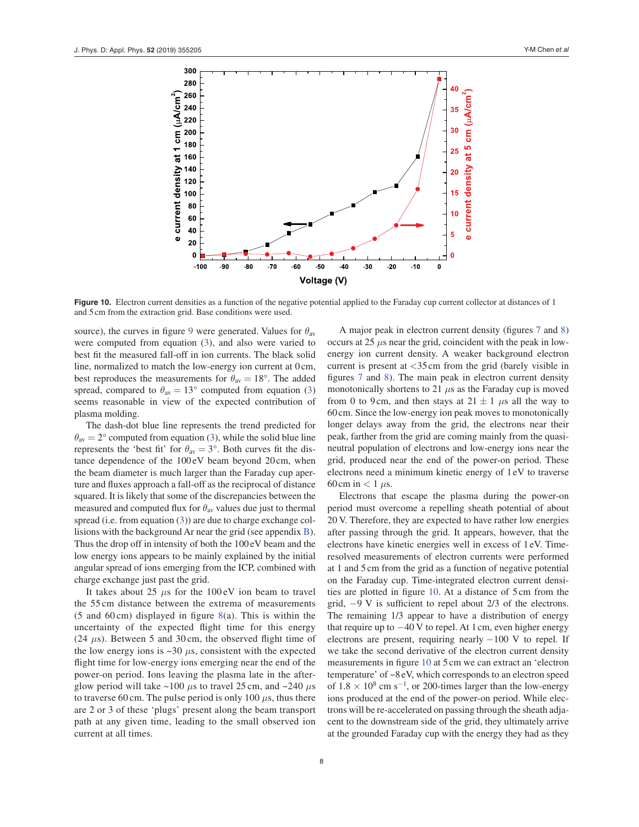

Figure 10. Electron current densities as a function of the negative potential applied to the Faraday cup current collector at distances of 1 and 5 cm from the extraction grid. Base conditions were used.

source), the curves in figure 9 were generated. Values for  $\theta_{av}$ were computed from equation (3), and also were varied to best fit the measured fall-off in ion currents. The black solid line, normalized to match the low-energy ion current at 0 cm, best reproduces the measurements for  $\theta_{av} = 18^\circ$ . The added spread, compared to  $\theta_{av} = 13^{\circ}$  computed from equation (3) seems reasonable in view of the expected contribution of plasma molding.

The dash-dot blue line represents the trend predicted for  $\theta_{av} = 2^{\circ}$  computed from equation (3), while the solid blue line represents the 'best fit' for  $\theta_{av} = 3^{\circ}$ . Both curves fit the distance dependence of the  $100 \text{ eV}$  beam beyond  $20 \text{ cm}$ , when the beam diameter is much larger than the Faraday cup aperture and fluxes approach a fall-off as the reciprocal of distance squared. It is likely that some of the discrepancies between the measured and computed flux for  $\theta_{av}$  values due just to thermal spread (i.e. from equation (3)) are due to charge exchange collisions with the background Ar near the grid (see appendix B). Thus the drop off in intensity of both the 100 eV beam and the low energy ions appears to be mainly explained by the initial angular spread of ions emerging from the ICP, combined with charge exchange just past the grid.

It takes about 25  $\mu$ s for the 100 eV ion beam to travel the 55 cm distance between the extrema of measurements (5 and 60 cm) displayed in figure  $8(a)$ . This is within the uncertainty of the expected flight time for this energy (24  $\mu$ s). Between 5 and 30 cm, the observed flight time of the low energy ions is  $\sim$ 30  $\mu$ s, consistent with the expected flight time for low-energy ions emerging near the end of the power-on period. Ions leaving the plasma late in the afterglow period will take  $\sim$ 100  $\mu$ s to travel 25 cm, and  $\sim$ 240  $\mu$ s to traverse 60 cm. The pulse period is only 100  $\mu$ s, thus there are 2 or 3 of these 'plugs' present along the beam transport path at any given time, leading to the small observed ion current at all times.

A major peak in electron current density (figures 7 and 8) occurs at  $25 \mu s$  near the grid, coincident with the peak in lowenergy ion current density. A weaker background electron current is present at <35 cm from the grid (barely visible in figures 7 and 8). The main peak in electron current density monotonically shortens to 21  $\mu$ s as the Faraday cup is moved from 0 to 9 cm, and then stays at  $21 \pm 1$  *μs* all the way to 60 cm. Since the low-energy ion peak moves to monotonically longer delays away from the grid, the electrons near their peak, farther from the grid are coming mainly from the quasineutral population of electrons and low-energy ions near the grid, produced near the end of the power-on period. These electrons need a minimum kinetic energy of 1 eV to traverse 60 cm in  $< 1 \mu s$ .

Electrons that escape the plasma during the power-on period must overcome a repelling sheath potential of about 20 V. Therefore, they are expected to have rather low energies after passing through the grid. It appears, however, that the electrons have kinetic energies well in excess of 1 eV. Timeresolved measurements of electron currents were performed at 1 and 5 cm from the grid as a function of negative potential on the Faraday cup. Time-integrated electron current densities are plotted in figure 10. At a distance of 5 cm from the grid, −9 V is sufficient to repel about 2/3 of the electrons. The remaining 1/3 appear to have a distribution of energy that require up to  $-40$  V to repel. At 1 cm, even higher energy electrons are present, requiring nearly  $-100$  V to repel. If we take the second derivative of the electron current density measurements in figure 10 at 5 cm we can extract an 'electron temperature' of  $\sim8$  eV, which corresponds to an electron speed of  $1.8 \times 10^8$  cm s<sup>-1</sup>, or 200-times larger than the low-energy ions produced at the end of the power-on period. While electrons will be re-accelerated on passing through the sheath adjacent to the downstream side of the grid, they ultimately arrive at the grounded Faraday cup with the energy they had as they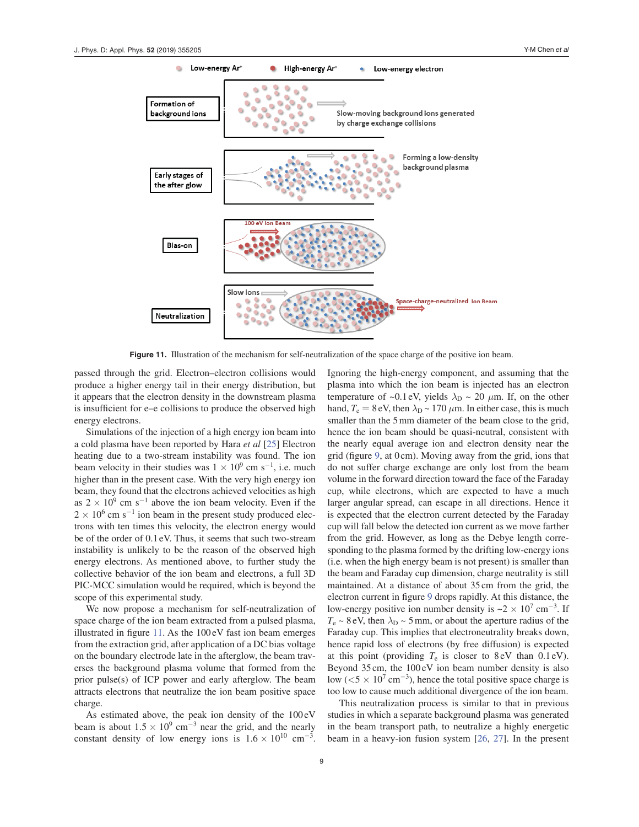

**Figure 11.** Illustration of the mechanism for self-neutralization of the space charge of the positive ion beam.

passed through the grid. Electron–electron collisions would produce a higher energy tail in their energy distribution, but it appears that the electron density in the downstream plasma is insufficient for e–e collisions to produce the observed high energy electrons.

Simulations of the injection of a high energy ion beam into a cold plasma have been reported by Hara *et al* [25] Electron heating due to a two-stream instability was found. The ion beam velocity in their studies was  $1 \times 10^9$  cm s<sup>-1</sup>, i.e. much higher than in the present case. With the very high energy ion beam, they found that the electrons achieved velocities as high as  $2 \times 10^9$  cm s<sup>-1</sup> above the ion beam velocity. Even if the  $2 \times 10^6$  cm s<sup>-1</sup> ion beam in the present study produced electrons with ten times this velocity, the electron energy would be of the order of 0.1 eV. Thus, it seems that such two-stream instability is unlikely to be the reason of the observed high energy electrons. As mentioned above, to further study the collective behavior of the ion beam and electrons, a full 3D PIC-MCC simulation would be required, which is beyond the scope of this experimental study.

We now propose a mechanism for self-neutralization of space charge of the ion beam extracted from a pulsed plasma, illustrated in figure 11. As the 100 eV fast ion beam emerges from the extraction grid, after application of a DC bias voltage on the boundary electrode late in the afterglow, the beam traverses the background plasma volume that formed from the prior pulse(s) of ICP power and early afterglow. The beam attracts electrons that neutralize the ion beam positive space charge.

As estimated above, the peak ion density of the 100 eV beam is about  $1.5 \times 10^9$  cm<sup>-3</sup> near the grid, and the nearly constant density of low energy ions is  $1.6 \times 10^{10}$  cm<sup>-3</sup>. Ignoring the high-energy component, and assuming that the plasma into which the ion beam is injected has an electron temperature of ~0.1 eV, yields  $\lambda_{\rm D}$  ~ 20  $\mu$ m. If, on the other hand,  $T_e = 8$  eV, then  $\lambda_D \sim 170 \ \mu \text{m}$ . In either case, this is much smaller than the 5 mm diameter of the beam close to the grid, hence the ion beam should be quasi-neutral, consistent with the nearly equal average ion and electron density near the grid (figure 9, at 0 cm). Moving away from the grid, ions that do not suffer charge exchange are only lost from the beam volume in the forward direction toward the face of the Faraday cup, while electrons, which are expected to have a much larger angular spread, can escape in all directions. Hence it is expected that the electron current detected by the Faraday cup will fall below the detected ion current as we move farther from the grid. However, as long as the Debye length corresponding to the plasma formed by the drifting low-energy ions (i.e. when the high energy beam is not present) is smaller than the beam and Faraday cup dimension, charge neutrality is still maintained. At a distance of about 35 cm from the grid, the electron current in figure 9 drops rapidly. At this distance, the low-energy positive ion number density is  $\sim$  2  $\times$  10<sup>7</sup> cm<sup>-3</sup>. If  $T_e \sim 8$  eV, then  $\lambda_D \sim 5$  mm, or about the aperture radius of the Faraday cup. This implies that electroneutrality breaks down, hence rapid loss of electrons (by free diffusion) is expected at this point (providing  $T_e$  is closer to 8 eV than 0.1 eV). Beyond 35 cm, the 100 eV ion beam number density is also low ( $\langle 5 \times 10^7 \text{ cm}^{-3}$ ), hence the total positive space charge is too low to cause much additional divergence of the ion beam.

This neutralization process is similar to that in previous studies in which a separate background plasma was generated in the beam transport path, to neutralize a highly energetic beam in a heavy-ion fusion system [26, 27]. In the present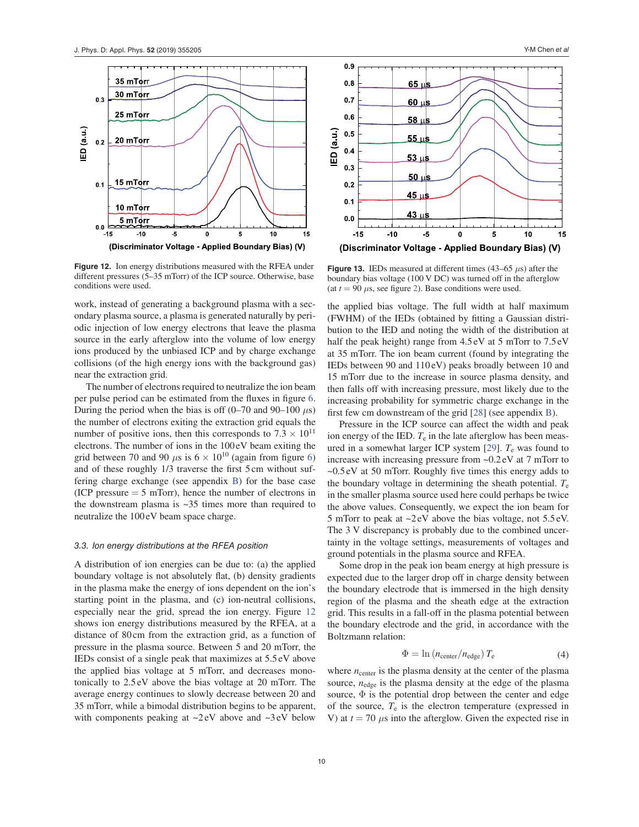

**Figure 12.** Ion energy distributions measured with the RFEA under different pressures (5–35 mTorr) of the ICP source. Otherwise, base conditions were used.

work, instead of generating a background plasma with a secondary plasma source, a plasma is generated naturally by periodic injection of low energy electrons that leave the plasma source in the early afterglow into the volume of low energy ions produced by the unbiased ICP and by charge exchange collisions (of the high energy ions with the background gas) near the extraction grid.

The number of electrons required to neutralize the ion beam per pulse period can be estimated from the fluxes in figure 6. During the period when the bias is off  $(0-70 \text{ and } 90-100 \text{ }\mu\text{s})$ the number of electrons exiting the extraction grid equals the number of positive ions, then this corresponds to  $7.3 \times 10^{11}$ electrons. The number of ions in the 100 eV beam exiting the grid between 70 and 90  $\mu$ s is  $6 \times 10^{10}$  (again from figure 6) and of these roughly 1/3 traverse the first 5 cm without suffering charge exchange (see appendix B) for the base case  $(ICP)$  pressure  $= 5$  mTorr), hence the number of electrons in the downstream plasma is  $\sim$ 35 times more than required to neutralize the 100 eV beam space charge.

#### 3.3. Ion energy distributions at the RFEA position

A distribution of ion energies can be due to: (a) the applied boundary voltage is not absolutely flat, (b) density gradients in the plasma make the energy of ions dependent on the ion's starting point in the plasma, and (c) ion-neutral collisions, especially near the grid, spread the ion energy. Figure 12 shows ion energy distributions measured by the RFEA, at a distance of 80 cm from the extraction grid, as a function of pressure in the plasma source. Between 5 and 20 mTorr, the IEDs consist of a single peak that maximizes at 5.5 eV above the applied bias voltage at 5 mTorr, and decreases monotonically to 2.5 eV above the bias voltage at 20 mTorr. The average energy continues to slowly decrease between 20 and 35 mTorr, while a bimodal distribution begins to be apparent, with components peaking at ~2 eV above and ~3 eV below



**Figure 13.** IEDs measured at different times  $(43-65 \mu s)$  after the boundary bias voltage (100 V DC) was turned off in the afterglow (at  $t = 90 \mu s$ , see figure 2). Base conditions were used.

the applied bias voltage. The full width at half maximum (FWHM) of the IEDs (obtained by fitting a Gaussian distribution to the IED and noting the width of the distribution at half the peak height) range from 4.5 eV at 5 mTorr to 7.5 eV at 35 mTorr. The ion beam current (found by integrating the IEDs between 90 and 110 eV) peaks broadly between 10 and 15 mTorr due to the increase in source plasma density, and then falls off with increasing pressure, most likely due to the increasing probability for symmetric charge exchange in the first few cm downstream of the grid [28] (see appendix B).

Pressure in the ICP source can affect the width and peak ion energy of the IED.  $T_e$  in the late afterglow has been measured in a somewhat larger ICP system [29]. *T*e was found to increase with increasing pressure from ~0.2 eV at 7 mTorr to ~0.5 eV at 50 mTorr. Roughly five times this energy adds to the boundary voltage in determining the sheath potential. *T*<sup>e</sup> in the smaller plasma source used here could perhaps be twice the above values. Consequently, we expect the ion beam for 5 mTorr to peak at  $\sim$ 2 eV above the bias voltage, not 5.5 eV. The 3 V discrepancy is probably due to the combined uncertainty in the voltage settings, measurements of voltages and ground potentials in the plasma source and RFEA.

Some drop in the peak ion beam energy at high pressure is expected due to the larger drop off in charge density between the boundary electrode that is immersed in the high density region of the plasma and the sheath edge at the extraction grid. This results in a fall-off in the plasma potential between the boundary electrode and the grid, in accordance with the Boltzmann relation:

$$
\Phi = \ln \left( n_{\text{center}} / n_{\text{edge}} \right) T_{\text{e}} \tag{4}
$$

where  $n_{\text{center}}$  is the plasma density at the center of the plasma source,  $n_{edge}$  is the plasma density at the edge of the plasma source,  $\Phi$  is the potential drop between the center and edge of the source, *T*e is the electron temperature (expressed in V) at  $t = 70 \mu s$  into the afterglow. Given the expected rise in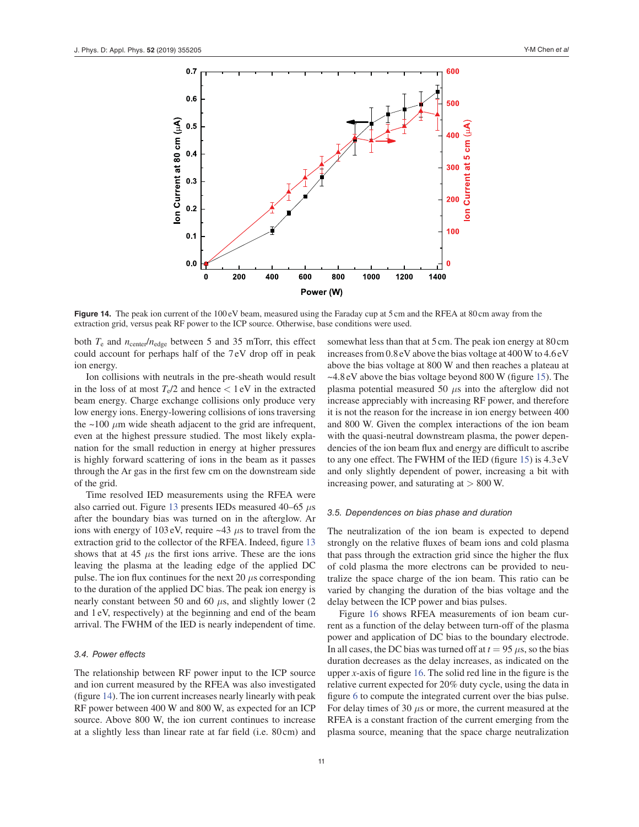

**Figure 14.** The peak ion current of the 100 eV beam, measured using the Faraday cup at 5 cm and the RFEA at 80 cm away from the extraction grid, versus peak RF power to the ICP source. Otherwise, base conditions were used.

both *T*e and *n*center/*n*edge between 5 and 35 mTorr, this effect could account for perhaps half of the 7 eV drop off in peak ion energy.

Ion collisions with neutrals in the pre-sheath would result in the loss of at most  $T_e/2$  and hence  $\lt$  1 eV in the extracted beam energy. Charge exchange collisions only produce very low energy ions. Energy-lowering collisions of ions traversing the  $\sim$ 100  $\mu$ m wide sheath adjacent to the grid are infrequent, even at the highest pressure studied. The most likely explanation for the small reduction in energy at higher pressures is highly forward scattering of ions in the beam as it passes through the Ar gas in the first few cm on the downstream side of the grid.

Time resolved IED measurements using the RFEA were also carried out. Figure 13 presents IEDs measured 40–65 *μ*s after the boundary bias was turned on in the afterglow. Ar ions with energy of 103 eV, require ~43 *μ*s to travel from the extraction grid to the collector of the RFEA. Indeed, figure 13 shows that at 45 *μ*s the first ions arrive. These are the ions leaving the plasma at the leading edge of the applied DC pulse. The ion flux continues for the next 20  $\mu$ s corresponding to the duration of the applied DC bias. The peak ion energy is nearly constant between 50 and 60 *μ*s, and slightly lower (2 and 1 eV, respectively) at the beginning and end of the beam arrival. The FWHM of the IED is nearly independent of time.

## 3.4. Power effects

The relationship between RF power input to the ICP source and ion current measured by the RFEA was also investigated (figure 14). The ion current increases nearly linearly with peak RF power between 400 W and 800 W, as expected for an ICP source. Above 800 W, the ion current continues to increase at a slightly less than linear rate at far field (i.e. 80 cm) and

somewhat less than that at 5 cm. The peak ion energy at 80 cm increases from 0.8 eV above the bias voltage at 400 W to 4.6 eV above the bias voltage at 800 W and then reaches a plateau at ~4.8 eV above the bias voltage beyond 800 W (figure 15). The plasma potential measured 50 *μ*s into the afterglow did not increase appreciably with increasing RF power, and therefore it is not the reason for the increase in ion energy between 400 and 800 W. Given the complex interactions of the ion beam with the quasi-neutral downstream plasma, the power dependencies of the ion beam flux and energy are difficult to ascribe to any one effect. The FWHM of the IED (figure 15) is 4.3 eV and only slightly dependent of power, increasing a bit with increasing power, and saturating at  $> 800$  W.

#### 3.5. Dependences on bias phase and duration

The neutralization of the ion beam is expected to depend strongly on the relative fluxes of beam ions and cold plasma that pass through the extraction grid since the higher the flux of cold plasma the more electrons can be provided to neutralize the space charge of the ion beam. This ratio can be varied by changing the duration of the bias voltage and the delay between the ICP power and bias pulses.

Figure 16 shows RFEA measurements of ion beam current as a function of the delay between turn-off of the plasma power and application of DC bias to the boundary electrode. In all cases, the DC bias was turned off at  $t = 95 \mu s$ , so the bias duration decreases as the delay increases, as indicated on the upper *x*-axis of figure 16. The solid red line in the figure is the relative current expected for 20% duty cycle, using the data in figure 6 to compute the integrated current over the bias pulse. For delay times of 30 *μ*s or more, the current measured at the RFEA is a constant fraction of the current emerging from the plasma source, meaning that the space charge neutralization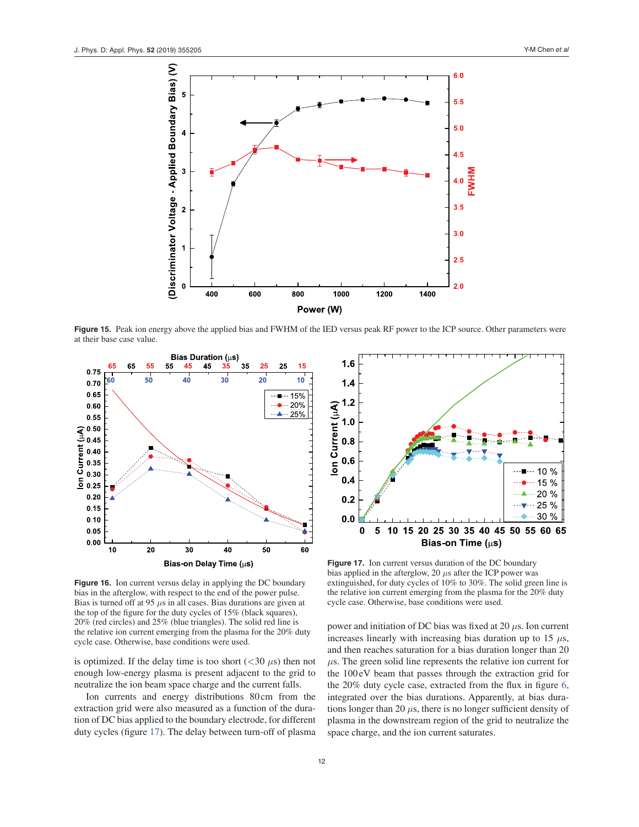

**Figure 15.** Peak ion energy above the applied bias and FWHM of the IED versus peak RF power to the ICP source. Other parameters were at their base case value.



**Figure 16.** Ion current versus delay in applying the DC boundary bias in the afterglow, with respect to the end of the power pulse. Bias is turned off at 95 *μ*s in all cases. Bias durations are given at the top of the figure for the duty cycles of 15% (black squares), 20% (red circles) and 25% (blue triangles). The solid red line is the relative ion current emerging from the plasma for the 20% duty cycle case. Otherwise, base conditions were used.

is optimized. If the delay time is too short  $( $30 \mu s$ )$  then not enough low-energy plasma is present adjacent to the grid to neutralize the ion beam space charge and the current falls.

Ion currents and energy distributions 80 cm from the extraction grid were also measured as a function of the duration of DC bias applied to the boundary electrode, for different duty cycles (figure 17). The delay between turn-off of plasma



**Figure 17.** Ion current versus duration of the DC boundary bias applied in the afterglow, 20 *μ*s after the ICP power was extinguished, for duty cycles of 10% to 30%. The solid green line is the relative ion current emerging from the plasma for the 20% duty cycle case. Otherwise, base conditions were used.

power and initiation of DC bias was fixed at 20 *μ*s. Ion current increases linearly with increasing bias duration up to 15 *μ*s, and then reaches saturation for a bias duration longer than 20 *μ*s. The green solid line represents the relative ion current for the 100 eV beam that passes through the extraction grid for the 20% duty cycle case, extracted from the flux in figure 6, integrated over the bias durations. Apparently, at bias durations longer than 20  $\mu$ s, there is no longer sufficient density of plasma in the downstream region of the grid to neutralize the space charge, and the ion current saturates.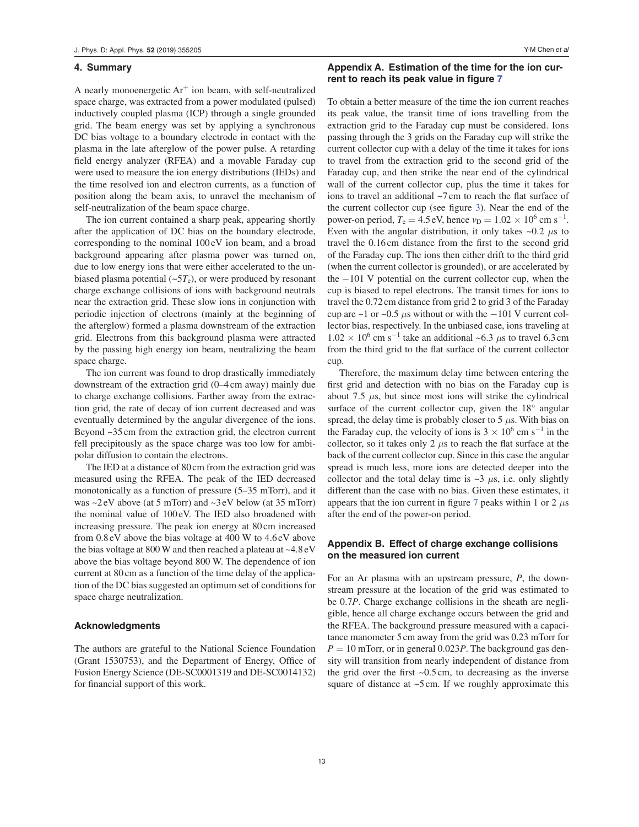## **4. Summary**

A nearly monoenergetic  $Ar^+$  ion beam, with self-neutralized space charge, was extracted from a power modulated (pulsed) inductively coupled plasma (ICP) through a single grounded grid. The beam energy was set by applying a synchronous DC bias voltage to a boundary electrode in contact with the plasma in the late afterglow of the power pulse. A retarding field energy analyzer (RFEA) and a movable Faraday cup were used to measure the ion energy distributions (IEDs) and the time resolved ion and electron currents, as a function of position along the beam axis, to unravel the mechanism of self-neutralization of the beam space charge.

The ion current contained a sharp peak, appearing shortly after the application of DC bias on the boundary electrode, corresponding to the nominal 100 eV ion beam, and a broad background appearing after plasma power was turned on, due to low energy ions that were either accelerated to the unbiased plasma potential  $(-5T_e)$ , or were produced by resonant charge exchange collisions of ions with background neutrals near the extraction grid. These slow ions in conjunction with periodic injection of electrons (mainly at the beginning of the afterglow) formed a plasma downstream of the extraction grid. Electrons from this background plasma were attracted by the passing high energy ion beam, neutralizing the beam space charge.

The ion current was found to drop drastically immediately downstream of the extraction grid (0–4 cm away) mainly due to charge exchange collisions. Farther away from the extraction grid, the rate of decay of ion current decreased and was eventually determined by the angular divergence of the ions. Beyond ~35 cm from the extraction grid, the electron current fell precipitously as the space charge was too low for ambipolar diffusion to contain the electrons.

The IED at a distance of 80 cm from the extraction grid was measured using the RFEA. The peak of the IED decreased monotonically as a function of pressure (5–35 mTorr), and it was ~2 eV above (at 5 mTorr) and ~3 eV below (at 35 mTorr) the nominal value of 100 eV. The IED also broadened with increasing pressure. The peak ion energy at 80 cm increased from 0.8 eV above the bias voltage at 400 W to 4.6 eV above the bias voltage at 800 W and then reached a plateau at ~4.8 eV above the bias voltage beyond 800 W. The dependence of ion current at 80 cm as a function of the time delay of the application of the DC bias suggested an optimum set of conditions for space charge neutralization.

## **Acknowledgments**

The authors are grateful to the National Science Foundation (Grant 1530753), and the Department of Energy, Office of Fusion Energy Science (DE-SC0001319 and DE-SC0014132) for financial support of this work.

# **Appendix A. Estimation of the time for the ion current to reach its peak value in figure 7**

To obtain a better measure of the time the ion current reaches its peak value, the transit time of ions travelling from the extraction grid to the Faraday cup must be considered. Ions passing through the 3 grids on the Faraday cup will strike the current collector cup with a delay of the time it takes for ions to travel from the extraction grid to the second grid of the Faraday cup, and then strike the near end of the cylindrical wall of the current collector cup, plus the time it takes for ions to travel an additional ~7 cm to reach the flat surface of the current collector cup (see figure 3). Near the end of the power-on period,  $T_e = 4.5 \text{ eV}$ , hence  $v_D = 1.02 \times 10^6 \text{ cm s}^{-1}$ . Even with the angular distribution, it only takes  $\sim 0.2$   $\mu$ s to travel the 0.16 cm distance from the first to the second grid of the Faraday cup. The ions then either drift to the third grid (when the current collector is grounded), or are accelerated by the −101 V potential on the current collector cup, when the cup is biased to repel electrons. The transit times for ions to travel the 0.72 cm distance from grid 2 to grid 3 of the Faraday cup are  $\sim$ 1 or  $\sim$ 0.5  $\mu$ s without or with the −101 V current collector bias, respectively. In the unbiased case, ions traveling at  $1.02 \times 10^6$  cm s<sup>-1</sup> take an additional ~6.3  $\mu$ s to travel 6.3 cm from the third grid to the flat surface of the current collector cup.

Therefore, the maximum delay time between entering the first grid and detection with no bias on the Faraday cup is about 7.5  $\mu$ s, but since most ions will strike the cylindrical surface of the current collector cup, given the 18° angular spread, the delay time is probably closer to 5 *μ*s. With bias on the Faraday cup, the velocity of ions is  $3 \times 10^6$  cm s<sup>-1</sup> in the collector, so it takes only 2 *μ*s to reach the flat surface at the back of the current collector cup. Since in this case the angular spread is much less, more ions are detected deeper into the collector and the total delay time is  $\sim$ 3  $\mu$ s, i.e. only slightly different than the case with no bias. Given these estimates, it appears that the ion current in figure 7 peaks within 1 or 2 *μ*s after the end of the power-on period.

# **Appendix B. Effect of charge exchange collisions on the measured ion current**

For an Ar plasma with an upstream pressure, *P*, the downstream pressure at the location of the grid was estimated to be 0.7*P*. Charge exchange collisions in the sheath are negligible, hence all charge exchange occurs between the grid and the RFEA. The background pressure measured with a capacitance manometer 5 cm away from the grid was 0.23 mTorr for  $P = 10$  mTorr, or in general 0.023*P*. The background gas density will transition from nearly independent of distance from the grid over the first  $\sim 0.5$  cm, to decreasing as the inverse square of distance at ~5 cm. If we roughly approximate this